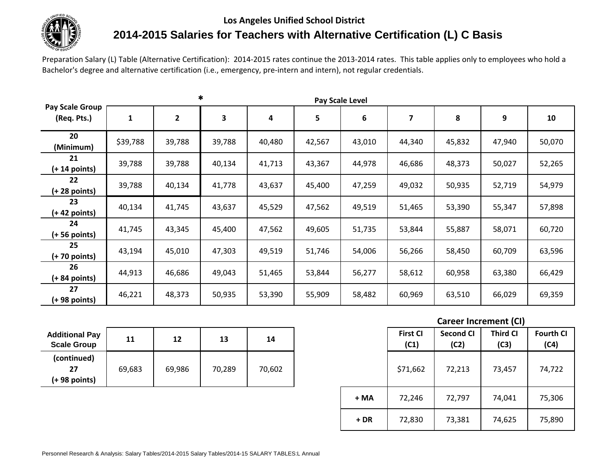## **Los Angeles Unified School District**



## **2014-2015 Salaries for Teachers with Alternative Certification (L) C Basis**

Preparation Salary (L) Table (Alternative Certification): 2014-2015 rates continue the 2013-2014 rates. This table applies only to employees who hold a Bachelor's degree and alternative certification (i.e., emergency, pre-intern and intern), not regular credentials.

|                                | *<br>Pay Scale Level |                |        |        |        |        |        |        |        |        |
|--------------------------------|----------------------|----------------|--------|--------|--------|--------|--------|--------|--------|--------|
| Pay Scale Group<br>(Req. Pts.) | 1                    | $\overline{2}$ | 3      | 4      | 5      | 6      | 7      | 8      | 9      | 10     |
| 20<br>(Minimum)                | \$39,788             | 39,788         | 39,788 | 40,480 | 42,567 | 43,010 | 44,340 | 45,832 | 47,940 | 50,070 |
| 21<br>$(+ 14$ points)          | 39,788               | 39,788         | 40,134 | 41,713 | 43,367 | 44,978 | 46,686 | 48,373 | 50,027 | 52,265 |
| 22<br>$(+ 28$ points)          | 39,788               | 40,134         | 41,778 | 43,637 | 45,400 | 47,259 | 49,032 | 50,935 | 52,719 | 54,979 |
| 23<br>$(+ 42$ points)          | 40,134               | 41,745         | 43,637 | 45,529 | 47,562 | 49,519 | 51,465 | 53,390 | 55,347 | 57,898 |
| 24<br>(+ 56 points)            | 41,745               | 43,345         | 45,400 | 47,562 | 49,605 | 51,735 | 53,844 | 55,887 | 58,071 | 60,720 |
| 25<br>(+ 70 points)            | 43,194               | 45,010         | 47,303 | 49,519 | 51,746 | 54,006 | 56,266 | 58,450 | 60,709 | 63,596 |
| 26<br>$(+ 84$ points)          | 44,913               | 46,686         | 49,043 | 51,465 | 53,844 | 56,277 | 58,612 | 60,958 | 63,380 | 66,429 |
| 27<br>(+ 98 points)            | 46,221               | 48,373         | 50,935 | 53,390 | 55,909 | 58,482 | 60,969 | 63,510 | 66,029 | 69,359 |

| <b>Additional Pay</b><br><b>Scale Group</b> | 11     | 12     | 13     | 14     |  |
|---------------------------------------------|--------|--------|--------|--------|--|
| (continued)<br>27                           | 69,683 | 69,986 | 70,289 | 70,602 |  |
| $(+ 98$ points)                             |        |        |        |        |  |

## **Career Increment (CI)**

| 11     | 12     | 13     | 14     |       | <b>First CI</b><br>(C1) | <b>Second CI</b><br>(C2) | <b>Third CI</b><br>(C3) | <b>Fourth CI</b><br>(C4) |
|--------|--------|--------|--------|-------|-------------------------|--------------------------|-------------------------|--------------------------|
| 69,683 | 69,986 | 70,289 | 70,602 |       | \$71,662                | 72,213                   | 73,457                  | 74,722                   |
|        |        |        |        | + MA  | 72,246                  | 72,797                   | 74,041                  | 75,306                   |
|        |        |        |        | $+DR$ | 72,830                  | 73,381                   | 74,625                  | 75,890                   |